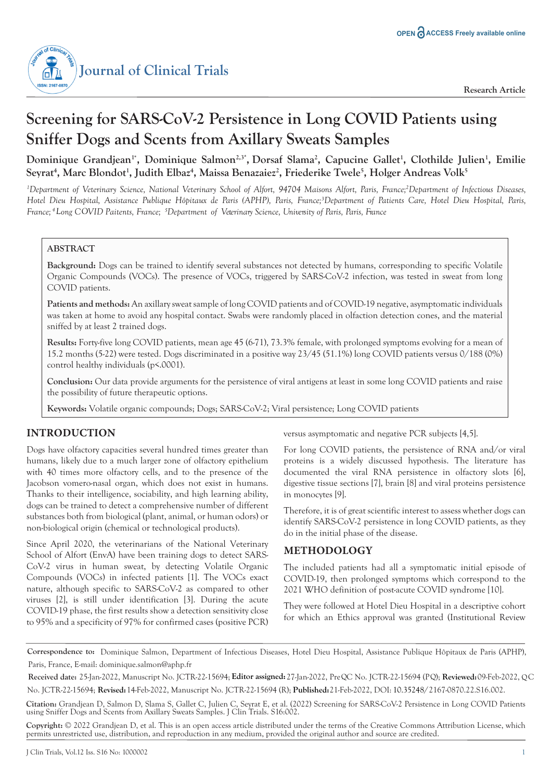

# **Screening for SARS-CoV-2 Persistence in Long COVID Patients using Sniffer Dogs and Scents from Axillary Sweats Samples**

Dominique Grandjean<sup>1</sup>', Dominique Salmon<sup>2,3</sup>', Dorsaf Slama<sup>2</sup>, Capucine Gallet<sup>1</sup>, Clothilde Julien<sup>1</sup>, Emilie  $S$ eyrat<sup>4</sup>, Marc Blondot<sup>1</sup>, Judith Elbaz<sup>4</sup>, Maissa Benazaiez<sup>2</sup>, Friederike Twele<sup>5</sup>, Holger Andreas Volk<sup>5</sup>

<sup>1</sup>Department of Veterinary Science, National Veterinary School of Alfort, 94704 Maisons Alfort, Paris, France;<sup>2</sup>Department of Infectious Diseases, *Hotel Dieu Hospital, Assistance Publique Hôpitaux de Paris (APHP), Paris, France;3 Department of Patients Care, Hotel Dieu Hospital, Paris, France; <sup>4</sup> ong C VID Paitents, France; L O <sup>5</sup> Department of Veterinary Science, University of Paris, Paris, France*

### **ABSTRACT**

**Background:** Dogs can be trained to identify several substances not detected by humans, corresponding to specific Volatile Organic Compounds (VOCs). The presence of VOCs, triggered by SARS-CoV-2 infection, was tested in sweat from long COVID patients.

**Patients and methods:** An axillary sweat sample of long COVID patients and of COVID-19 negative, asymptomatic individuals was taken at home to avoid any hospital contact. Swabs were randomly placed in olfaction detection cones, and the material sniffed by at least 2 trained dogs.

**Results:** Forty-five long COVID patients, mean age 45 (6-71), 73.3% female, with prolonged symptoms evolving for a mean of 15.2 months (5-22) were tested. Dogs discriminated in a positive way 23/45 (51.1%) long COVID patients versus 0/188 (0%) control healthy individuals (p<.0001).

**Conclusion:** Our data provide arguments for the persistence of viral antigens at least in some long COVID patients and raise the possibility of future therapeutic options.

**Keywords:** Volatile organic compounds; Dogs; SARS-CoV-2; Viral persistence; Long COVID patients

### **INTRODUCTION**

Dogs have olfactory capacities several hundred times greater than humans, likely due to a much larger zone of olfactory epithelium with 40 times more olfactory cells, and to the presence of the Jacobson vomero-nasal organ, which does not exist in humans. Thanks to their intelligence, sociability, and high learning ability, dogs can be trained to detect a comprehensive number of different substances both from biological (plant, animal, or human odors) or non-biological origin (chemical or technological products).

Since April 2020, the veterinarians of the National Veterinary School of Alfort (EnvA) have been training dogs to detect SARS-CoV-2 virus in human sweat, by detecting Volatile Organic Compounds (VOCs) in infected patients [1]. The VOCs exact nature, although specific to SARS-CoV-2 as compared to other viruses [2], is still under identification [3]. During the acute COVID-19 phase, the first results show a detection sensitivity close to 95% and a specificity of 97% for confirmed cases (positive PCR)

versus asymptomatic and negative PCR subjects [4,5].

For long COVID patients, the persistence of RNA and/or viral proteins is a widely discussed hypothesis. The literature has documented the viral RNA persistence in olfactory slots [6], digestive tissue sections [7], brain [8] and viral proteins persistence in monocytes [9].

Therefore, it is of great scientific interest to assess whether dogs can identify SARS-CoV-2 persistence in long COVID patients, as they do in the initial phase of the disease.

### **METHODOLOGY**

The included patients had all a symptomatic initial episode of COVID-19, then prolonged symptoms which correspond to the 2021 WHO definition of post-acute COVID syndrome [10].

They were followed at Hotel Dieu Hospital in a descriptive cohort for which an Ethics approval was granted (Institutional Review

**Correspondence to:** Dominique Salmon, Department of Infectious Diseases, Hotel Dieu Hospital, Assistance Publique Hôpitaux de Paris (APHP), Paris, France, E-mail: dominique.salmon@aphp.fr

Received date: 25-Jan-2022, Manuscript No. JCTR-22-15694; Editor assigned: 27-Jan-2022, Pre QC No. JCTR-22-15694 (PQ); Reviewed: 09-Feb-2022, QC No. JCTR-22-15694; **Revised:** 14-Feb-2022, Manuscript No. JCTR-22-15694 (R); **Published:**21-Feb-2022, DOI: 10.35248/2167-0870.22.S16.002.

**Citation:** Grandjean D, Salmon D, Slama S, Gallet C, Julien C, Seyrat E, et al. (2022) Screening for SARS-CoV-2 Persistence in Long COVID Patients using Sniffer Dogs and Scents from Axillary Sweats Samples. J Clin Trials. S16:002.

**Copyright:** © 2022 Grandjean D, et al. This is an open access article distributed under the terms of the Creative Commons Attribution License, which permits unrestricted use, distribution, and reproduction in any medium, provided the original author and source are credited.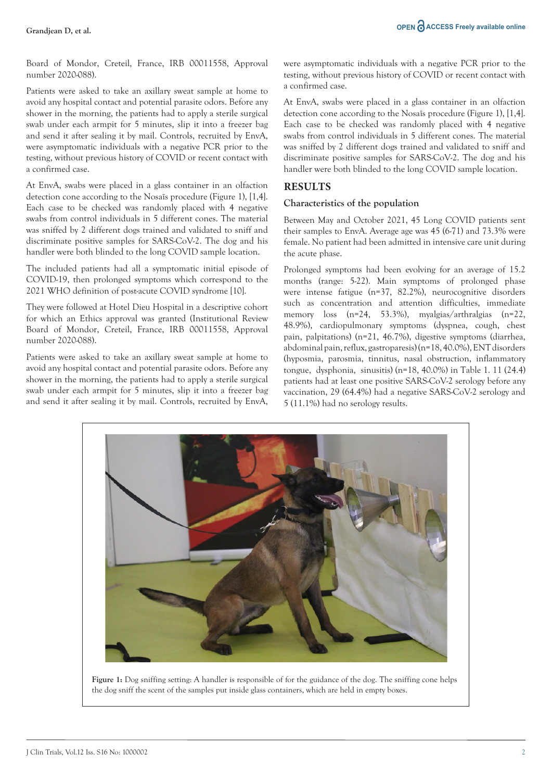Board of Mondor, Creteil, France, IRB 00011558, Approval number 2020-088).

Patients were asked to take an axillary sweat sample at home to avoid any hospital contact and potential parasite odors. Before any shower in the morning, the patients had to apply a sterile surgical swab under each armpit for 5 minutes, slip it into a freezer bag and send it after sealing it by mail. Controls, recruited by EnvA, were asymptomatic individuals with a negative PCR prior to the testing, without previous history of COVID or recent contact with a confirmed case.

At EnvA, swabs were placed in a glass container in an olfaction detection cone according to the Nosaïs procedure (Figure 1), [1,4]. Each case to be checked was randomly placed with 4 negative swabs from control individuals in 5 different cones. The material was sniffed by 2 different dogs trained and validated to sniff and discriminate positive samples for SARS-CoV-2. The dog and his handler were both blinded to the long COVID sample location.

The included patients had all a symptomatic initial episode of COVID-19, then prolonged symptoms which correspond to the 2021 WHO definition of post-acute COVID syndrome [10].

They were followed at Hotel Dieu Hospital in a descriptive cohort for which an Ethics approval was granted (Institutional Review Board of Mondor, Creteil, France, IRB 00011558, Approval number 2020-088).

Patients were asked to take an axillary sweat sample at home to avoid any hospital contact and potential parasite odors. Before any shower in the morning, the patients had to apply a sterile surgical swab under each armpit for 5 minutes, slip it into a freezer bag and send it after sealing it by mail. Controls, recruited by EnvA, were asymptomatic individuals with a negative PCR prior to the testing, without previous history of COVID or recent contact with a confirmed case.

At EnvA, swabs were placed in a glass container in an olfaction detection cone according to the Nosaïs procedure (Figure 1), [1,4]. Each case to be checked was randomly placed with 4 negative swabs from control individuals in 5 different cones. The material was sniffed by 2 different dogs trained and validated to sniff and discriminate positive samples for SARS-CoV-2. The dog and his handler were both blinded to the long COVID sample location.

### **RESULTS**

### **Characteristics of the population**

Between May and October 2021, 45 Long COVID patients sent their samples to EnvA. Average age was 45 (6-71) and 73.3% were female. No patient had been admitted in intensive care unit during the acute phase.

Prolonged symptoms had been evolving for an average of 15.2 months (range: 5-22). Main symptoms of prolonged phase were intense fatigue (n=37, 82.2%), neurocognitive disorders such as concentration and attention difficulties, immediate memory loss (n=24, 53.3%), myalgias/arthralgias (n=22, 48.9%), cardiopulmonary symptoms (dyspnea, cough, chest pain, palpitations) (n=21, 46.7%), digestive symptoms (diarrhea, abdominal pain, reflux, gastroparesis) (n=18, 40.0%), ENT disorders (hyposmia, parosmia, tinnitus, nasal obstruction, inflammatory tongue, dysphonia, sinusitis) (n=18, 40.0%) in Table 1. 11 (24.4) patients had at least one positive SARS-CoV-2 serology before any vaccination, 29 (64.4%) had a negative SARS-CoV-2 serology and 5 (11.1%) had no serology results.



**Figure 1:** Dog sniffing setting: A handler is responsible of for the guidance of the dog. The sniffing cone helps the dog sniff the scent of the samples put inside glass containers, which are held in empty boxes.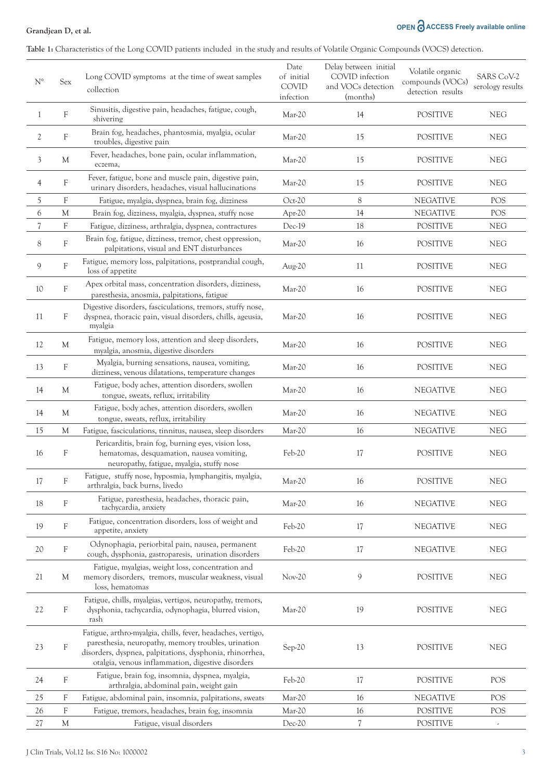### **Grandjean D, et al.**

## **OPEN ACCESS Freely available online**

**Table 1:** Characteristics of the Long COVID patients included in the study and results of Volatile Organic Compounds (VOCS) detection.

| $\mathrm{N}^\circ$       | Sex                       | Long COVID symptoms at the time of sweat samples<br>collection                                                                                                                                                                      | Date<br>of initial<br><b>COVID</b><br>infection | Delay between initial<br>COVID infection<br>and VOCs detection<br>(months) | Volatile organic<br>compounds (VOCs)<br>detection results | SARS CoV-2<br>serology results |
|--------------------------|---------------------------|-------------------------------------------------------------------------------------------------------------------------------------------------------------------------------------------------------------------------------------|-------------------------------------------------|----------------------------------------------------------------------------|-----------------------------------------------------------|--------------------------------|
| 1                        | $\boldsymbol{\mathrm{F}}$ | Sinusitis, digestive pain, headaches, fatigue, cough,<br>shivering                                                                                                                                                                  | Mar-20                                          | 14                                                                         | <b>POSITIVE</b>                                           | <b>NEG</b>                     |
| $\mathfrak{2}$           | $\mathbf{F}$              | Brain fog, headaches, phantosmia, myalgia, ocular<br>troubles, digestive pain                                                                                                                                                       | Mar-20                                          | 15                                                                         | <b>POSITIVE</b>                                           | <b>NEG</b>                     |
| 3                        | M                         | Fever, headaches, bone pain, ocular inflammation,<br>eczema,                                                                                                                                                                        | Mar-20                                          | 15                                                                         | <b>POSITIVE</b>                                           | <b>NEG</b>                     |
| 4                        | $\mathbf{F}$              | Fever, fatigue, bone and muscle pain, digestive pain,<br>urinary disorders, headaches, visual hallucinations                                                                                                                        | Mar-20                                          | 15                                                                         | <b>POSITIVE</b>                                           | <b>NEG</b>                     |
| 5                        | F                         | Fatigue, myalgia, dyspnea, brain fog, dizziness                                                                                                                                                                                     | Oct-20                                          | 8                                                                          | <b>NEGATIVE</b>                                           | POS                            |
| 6                        | M                         | Brain fog, dizziness, myalgia, dyspnea, stuffy nose                                                                                                                                                                                 | Apr- $20$                                       | 14                                                                         | <b>NEGATIVE</b>                                           | POS                            |
| $\overline{\mathcal{U}}$ | F                         | Fatigue, dizziness, arthralgia, dyspnea, contractures                                                                                                                                                                               | Dec-19                                          | 18                                                                         | <b>POSITIVE</b>                                           | <b>NEG</b>                     |
| 8                        | F                         | Brain fog, fatigue, dizziness, tremor, chest oppression,<br>palpitations, visual and ENT disturbances                                                                                                                               | Mar-20                                          | 16                                                                         | <b>POSITIVE</b>                                           | <b>NEG</b>                     |
| 9                        | $\rm F$                   | Fatigue, memory loss, palpitations, postprandial cough,<br>loss of appetite                                                                                                                                                         | Aug-20                                          | 11                                                                         | <b>POSITIVE</b>                                           | <b>NEG</b>                     |
| 10                       | F                         | Apex orbital mass, concentration disorders, dizziness,<br>paresthesia, anosmia, palpitations, fatigue                                                                                                                               | Mar-20                                          | 16                                                                         | <b>POSITIVE</b>                                           | <b>NEG</b>                     |
| 11                       | F                         | Digestive disorders, fasciculations, tremors, stuffy nose,<br>dyspnea, thoracic pain, visual disorders, chills, ageusia,<br>myalgia                                                                                                 | Mar-20                                          | 16                                                                         | <b>POSITIVE</b>                                           | <b>NEG</b>                     |
| 12                       | M                         | Fatigue, memory loss, attention and sleep disorders,<br>myalgia, anosmia, digestive disorders                                                                                                                                       | Mar-20                                          | 16                                                                         | <b>POSITIVE</b>                                           | <b>NEG</b>                     |
| 13                       | F                         | Myalgia, burning sensations, nausea, vomiting,<br>dizziness, venous dilatations, temperature changes                                                                                                                                | Mar-20                                          | 16                                                                         | <b>POSITIVE</b>                                           | <b>NEG</b>                     |
| 14                       | M                         | Fatigue, body aches, attention disorders, swollen<br>tongue, sweats, reflux, irritability                                                                                                                                           | Mar-20                                          | 16                                                                         | <b>NEGATIVE</b>                                           | <b>NEG</b>                     |
| 14                       | M                         | Fatigue, body aches, attention disorders, swollen<br>tongue, sweats, reflux, irritability                                                                                                                                           | Mar-20                                          | 16                                                                         | <b>NEGATIVE</b>                                           | <b>NEG</b>                     |
| 15                       | M                         | Fatigue, fasciculations, tinnitus, nausea, sleep disorders                                                                                                                                                                          | Mar-20                                          | 16                                                                         | <b>NEGATIVE</b>                                           | <b>NEG</b>                     |
| 16                       | F                         | Pericarditis, brain fog, burning eyes, vision loss,<br>hematomas, desquamation, nausea vomiting,<br>neuropathy, fatigue, myalgia, stuffy nose                                                                                       | Feb-20                                          | 17                                                                         | <b>POSITIVE</b>                                           | <b>NEG</b>                     |
| $17\,$                   | F                         | Fatigue, stuffy nose, hyposmia, lymphangitis, myalgia,<br>arthralgia, back burns, livedo                                                                                                                                            | Mar-20                                          | 16                                                                         | <b>POSITIVE</b>                                           | <b>NEG</b>                     |
| $18\,$                   | F                         | Fatigue, paresthesia, headaches, thoracic pain,<br>tachycardia, anxiety                                                                                                                                                             | Mar-20                                          | 16                                                                         | <b>NEGATIVE</b>                                           | <b>NEG</b>                     |
| 19                       | $\rm F$                   | Fatigue, concentration disorders, loss of weight and<br>appetite, anxiety                                                                                                                                                           | Feb-20                                          | 17                                                                         | <b>NEGATIVE</b>                                           | <b>NEG</b>                     |
| 20                       | $\mathbf F$               | Odynophagia, periorbital pain, nausea, permanent<br>cough, dysphonia, gastroparesis, urination disorders                                                                                                                            | Feb-20                                          | 17                                                                         | <b>NEGATIVE</b>                                           | <b>NEG</b>                     |
| 21                       | M                         | Fatigue, myalgias, weight loss, concentration and<br>memory disorders, tremors, muscular weakness, visual<br>loss, hematomas                                                                                                        | Nov-20                                          | 9                                                                          | <b>POSITIVE</b>                                           | ${\rm NEG}$                    |
| 22                       | F                         | Fatigue, chills, myalgias, vertigos, neuropathy, tremors,<br>dysphonia, tachycardia, odynophagia, blurred vision,<br>rash                                                                                                           | Mar-20                                          | 19                                                                         | <b>POSITIVE</b>                                           | <b>NEG</b>                     |
| 23                       | F                         | Fatigue, arthro-myalgia, chills, fever, headaches, vertigo,<br>paresthesia, neuropathy, memory troubles, urination<br>disorders, dyspnea, palpitations, dysphonia, rhinorrhea,<br>otalgia, venous inflammation, digestive disorders | Sep-20                                          | 13                                                                         | <b>POSITIVE</b>                                           | <b>NEG</b>                     |
| 24                       | F                         | Fatigue, brain fog, insomnia, dyspnea, myalgia,<br>arthralgia, abdominal pain, weight gain                                                                                                                                          | Feb-20                                          | 17                                                                         | <b>POSITIVE</b>                                           | POS                            |
| 25                       | F                         | Fatigue, abdominal pain, insomnia, palpitations, sweats                                                                                                                                                                             | Mar-20                                          | 16                                                                         | <b>NEGATIVE</b>                                           | POS                            |
| 26                       | F                         | Fatigue, tremors, headaches, brain fog, insomnia                                                                                                                                                                                    | Mar-20                                          | 16                                                                         | <b>POSITIVE</b>                                           | POS                            |
| 27                       | M                         | Fatigue, visual disorders                                                                                                                                                                                                           | Dec-20                                          | 7                                                                          | <b>POSITIVE</b>                                           |                                |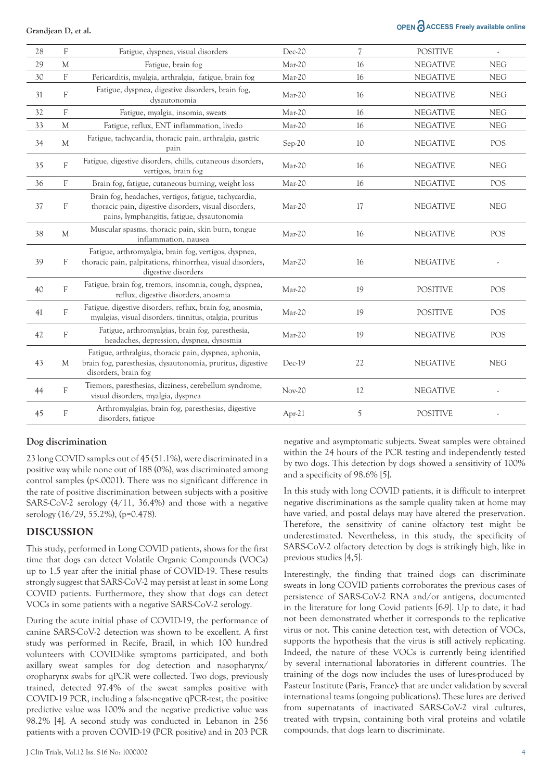### **OPEN ACCESS Freely available online**

| 28 | F            | Fatigue, dyspnea, visual disorders                                                                                                                           | Dec-20   | $\overline{\mathcal{U}}$ | <b>POSITIVE</b> |            |
|----|--------------|--------------------------------------------------------------------------------------------------------------------------------------------------------------|----------|--------------------------|-----------------|------------|
| 29 | M            | Fatigue, brain fog                                                                                                                                           | Mar-20   | 16                       | <b>NEGATIVE</b> | <b>NEG</b> |
| 30 | F            | Pericarditis, myalgia, arthralgia, fatigue, brain fog                                                                                                        | Mar-20   | 16                       | <b>NEGATIVE</b> | <b>NEG</b> |
| 31 | F            | Fatigue, dyspnea, digestive disorders, brain fog,<br>dysautonomia                                                                                            | Mar-20   | 16                       | <b>NEGATIVE</b> | <b>NEG</b> |
| 32 | F            | Fatigue, myalgia, insomia, sweats                                                                                                                            | Mar-20   | 16                       | <b>NEGATIVE</b> | <b>NEG</b> |
| 33 | M            | Fatigue, reflux, ENT inflammation, livedo                                                                                                                    | Mar-20   | 16                       | <b>NEGATIVE</b> | <b>NEG</b> |
| 34 | $\mathbf{M}$ | Fatigue, tachycardia, thoracic pain, arthralgia, gastric<br>pain                                                                                             | Sep-20   | 10                       | <b>NEGATIVE</b> | POS        |
| 35 | $\mathbf F$  | Fatigue, digestive disorders, chills, cutaneous disorders,<br>vertigos, brain fog                                                                            | Mar-20   | 16                       | <b>NEGATIVE</b> | <b>NEG</b> |
| 36 | F            | Brain fog, fatigue, cutaneous burning, weight loss                                                                                                           | Mar-20   | 16                       | <b>NEGATIVE</b> | POS        |
| 37 | F            | Brain fog, headaches, vertigos, fatigue, tachycardia,<br>thoracic pain, digestive disorders, visual disorders,<br>pains, lymphangitis, fatigue, dysautonomia | Mar-20   | 17                       | <b>NEGATIVE</b> | <b>NEG</b> |
| 38 | $\mathbf{M}$ | Muscular spasms, thoracic pain, skin burn, tongue<br>inflammation, nausea                                                                                    | Mar-20   | 16                       | <b>NEGATIVE</b> | POS        |
| 39 | F            | Fatigue, arthromyalgia, brain fog, vertigos, dyspnea,<br>thoracic pain, palpitations, rhinorrhea, visual disorders,<br>digestive disorders                   | Mar-20   | 16                       | <b>NEGATIVE</b> |            |
| 40 | F            | Fatigue, brain fog, tremors, insomnia, cough, dyspnea,<br>reflux, digestive disorders, anosmia                                                               | Mar-20   | 19                       | <b>POSITIVE</b> | POS        |
| 41 | F            | Fatigue, digestive disorders, reflux, brain fog, anosmia,<br>myalgias, visual disorders, tinnitus, otalgia, pruritus                                         | Mar-20   | 19                       | <b>POSITIVE</b> | POS        |
| 42 | $\rm F$      | Fatigue, arthromyalgias, brain fog, paresthesia,<br>headaches, depression, dyspnea, dysosmia                                                                 | Mar-20   | 19                       | <b>NEGATIVE</b> | POS        |
| 43 | М            | Fatigue, arthralgias, thoracic pain, dyspnea, aphonia,<br>brain fog, paresthesias, dysautonomia, pruritus, digestive<br>disorders, brain fog                 | $Dec-19$ | 22                       | <b>NEGATIVE</b> | <b>NEG</b> |
| 44 | F            | Tremors, paresthesias, dizziness, cerebellum syndrome,<br>visual disorders, myalgia, dyspnea                                                                 | $Nov-20$ | 12                       | <b>NEGATIVE</b> |            |
| 45 | F            | Arthromyalgias, brain fog, paresthesias, digestive<br>disorders, fatigue                                                                                     | Apr-21   | 5                        | <b>POSITIVE</b> |            |

### **Dog discrimination**

23 long COVID samples out of 45 (51.1%), were discriminated in a positive way while none out of 188 (0%), was discriminated among control samples (p<.0001). There was no significant difference in the rate of positive discrimination between subjects with a positive SARS-CoV-2 serology (4/11, 36.4%) and those with a negative serology (16/29, 55.2%), (p=0.478).

### **DISCUSSION**

This study, performed in Long COVID patients, shows for the first time that dogs can detect Volatile Organic Compounds (VOCs) up to 1.5 year after the initial phase of COVID-19. These results strongly suggest that SARS-CoV-2 may persist at least in some Long COVID patients. Furthermore, they show that dogs can detect VOCs in some patients with a negative SARS-CoV-2 serology.

During the acute initial phase of COVID-19, the performance of canine SARS-CoV-2 detection was shown to be excellent. A first study was performed in Recife, Brazil, in which 100 hundred volunteers with COVID-like symptoms participated, and both axillary sweat samples for dog detection and nasopharynx/ oropharynx swabs for qPCR were collected. Two dogs, previously trained, detected 97.4% of the sweat samples positive with COVID-19 PCR, including a false-negative qPCR-test, the positive predictive value was 100% and the negative predictive value was 98.2% [4]. A second study was conducted in Lebanon in 256 patients with a proven COVID-19 (PCR positive) and in 203 PCR

negative and asymptomatic subjects. Sweat samples were obtained within the 24 hours of the PCR testing and independently tested by two dogs. This detection by dogs showed a sensitivity of 100% and a specificity of 98.6% [5].

In this study with long COVID patients, it is difficult to interpret negative discriminations as the sample quality taken at home may have varied, and postal delays may have altered the preservation. Therefore, the sensitivity of canine olfactory test might be underestimated. Nevertheless, in this study, the specificity of SARS-CoV-2 olfactory detection by dogs is strikingly high, like in previous studies [4,5].

Interestingly, the finding that trained dogs can discriminate sweats in long COVID patients corroborates the previous cases of persistence of SARS-CoV-2 RNA and/or antigens, documented in the literature for long Covid patients [6-9]. Up to date, it had not been demonstrated whether it corresponds to the replicative virus or not. This canine detection test, with detection of VOCs, supports the hypothesis that the virus is still actively replicating. Indeed, the nature of these VOCs is currently being identified by several international laboratories in different countries. The training of the dogs now includes the uses of lures-produced by Pasteur Institute (Paris, France)- that are under validation by several international teams (ongoing publications). These lures are derived from supernatants of inactivated SARS-CoV-2 viral cultures, treated with trypsin, containing both viral proteins and volatile compounds, that dogs learn to discriminate.